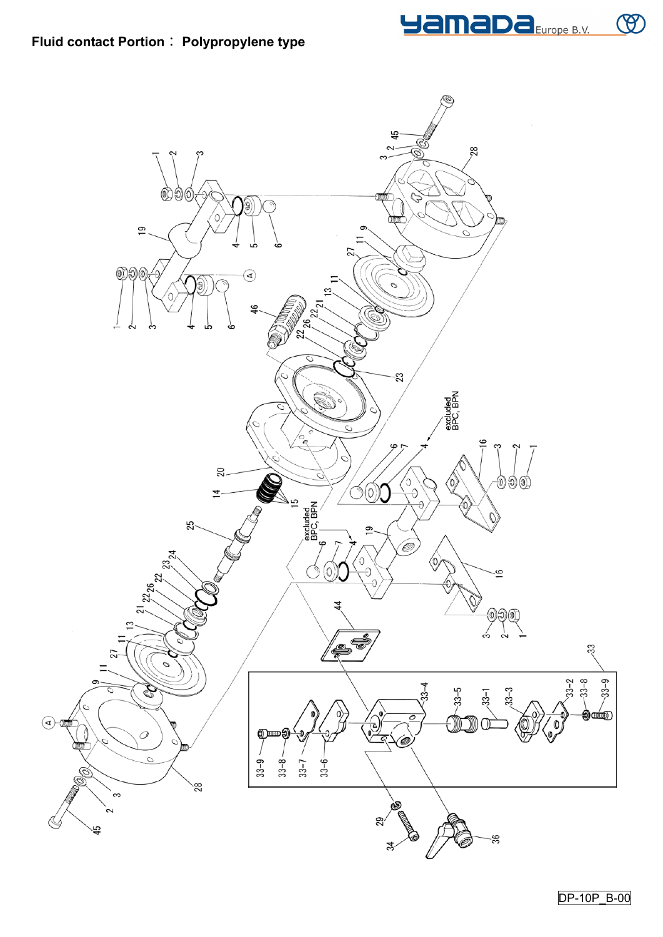

 $\circledR$